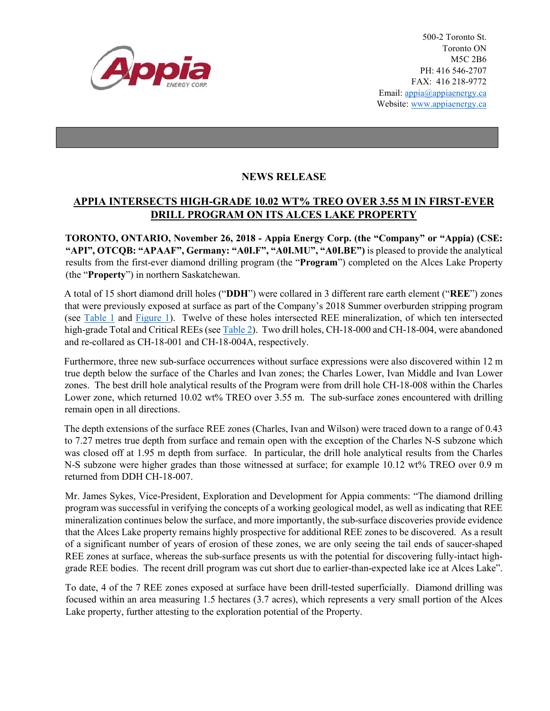

500-2 Toronto St. Toronto ON M5C 2B6 PH: 416 546-2707 FAX: 416 218-9772 Email: appia@appiaenergy.ca Website: www.appiaenergy.ca

## **NEWS RELEASE**

## **APPIA INTERSECTS HIGH-GRADE 10.02 WT% TREO OVER 3.55 M IN FIRST-EVER DRILL PROGRAM ON ITS ALCES LAKE PROPERTY**

**TORONTO, ONTARIO, November 26, 2018 - Appia Energy Corp. (the "Company" or "Appia) (CSE: "API", OTCQB: "APAAF", Germany: "A0I.F", "A0I.MU", "A0I.BE")** is pleased to provide the analytical results from the first-ever diamond drilling program (the "**Program**") completed on the Alces Lake Property (the "**Property**") in northern Saskatchewan.

A total of 15 short diamond drill holes ("**DDH**") were collared in 3 different rare earth element ("**REE**") zones that were previously exposed at surface as part of the Company's 2018 Summer overburden stripping program (see [Table 1](http://appiaenergy.ca/_resources/pdf/Table-1-DDH-Collar-Info-CH-18-000-to-WI-18-004-2018-11-20.pdf) and [Figure 1\)](http://appiaenergy.ca/_resources/pdf/Figure_1_DDH_plan_map_2018-11-26.pdf). Twelve of these holes intersected REE mineralization, of which ten intersected high-grade Total and Critical REEs (see [Table 2\)](http://appiaenergy.ca/_resources/pdf/Table-2-Appia-Alces-Lake-REO-Summary-DDH-Results-2018-11-19.pdf). Two drill holes, CH-18-000 and CH-18-004, were abandoned and re-collared as CH-18-001 and CH-18-004A, respectively.

Furthermore, three new sub-surface occurrences without surface expressions were also discovered within 12 m true depth below the surface of the Charles and Ivan zones; the Charles Lower, Ivan Middle and Ivan Lower zones. The best drill hole analytical results of the Program were from drill hole CH-18-008 within the Charles Lower zone, which returned 10.02 wt% TREO over 3.55 m. The sub-surface zones encountered with drilling remain open in all directions.

The depth extensions of the surface REE zones (Charles, Ivan and Wilson) were traced down to a range of 0.43 to 7.27 metres true depth from surface and remain open with the exception of the Charles N-S subzone which was closed off at 1.95 m depth from surface. In particular, the drill hole analytical results from the Charles N-S subzone were higher grades than those witnessed at surface; for example 10.12 wt% TREO over 0.9 m returned from DDH CH-18-007.

Mr. James Sykes, Vice-President, Exploration and Development for Appia comments: "The diamond drilling program was successful in verifying the concepts of a working geological model, as well as indicating that REE mineralization continues below the surface, and more importantly, the sub-surface discoveries provide evidence that the Alces Lake property remains highly prospective for additional REE zones to be discovered. As a result of a significant number of years of erosion of these zones, we are only seeing the tail ends of saucer-shaped REE zones at surface, whereas the sub-surface presents us with the potential for discovering fully-intact highgrade REE bodies. The recent drill program was cut short due to earlier-than-expected lake ice at Alces Lake".

To date, 4 of the 7 REE zones exposed at surface have been drill-tested superficially. Diamond drilling was focused within an area measuring 1.5 hectares (3.7 acres), which represents a very small portion of the Alces Lake property, further attesting to the exploration potential of the Property.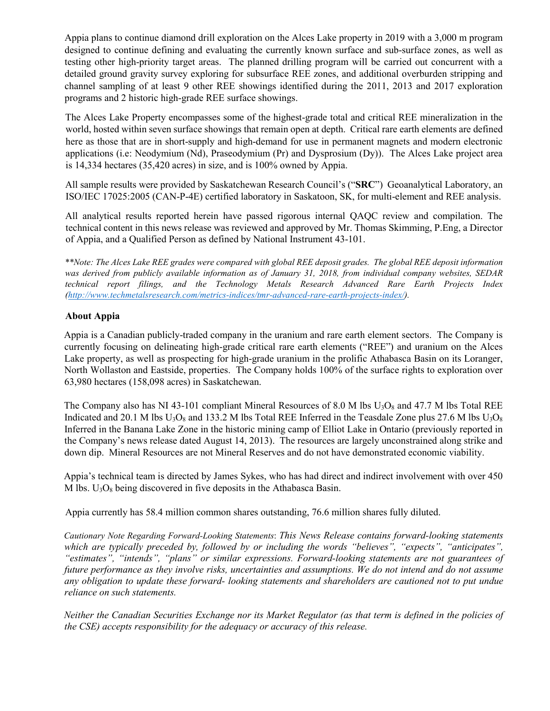Appia plans to continue diamond drill exploration on the Alces Lake property in 2019 with a 3,000 m program designed to continue defining and evaluating the currently known surface and sub-surface zones, as well as testing other high-priority target areas. The planned drilling program will be carried out concurrent with a detailed ground gravity survey exploring for subsurface REE zones, and additional overburden stripping and channel sampling of at least 9 other REE showings identified during the 2011, 2013 and 2017 exploration programs and 2 historic high-grade REE surface showings.

The Alces Lake Property encompasses some of the highest-grade total and critical REE mineralization in the world, hosted within seven surface showings that remain open at depth. Critical rare earth elements are defined here as those that are in short-supply and high-demand for use in permanent magnets and modern electronic applications (i.e: Neodymium (Nd), Praseodymium (Pr) and Dysprosium (Dy)). The Alces Lake project area is 14,334 hectares (35,420 acres) in size, and is 100% owned by Appia.

All sample results were provided by Saskatchewan Research Council's ("**SRC**") Geoanalytical Laboratory, an ISO/IEC 17025:2005 (CAN-P-4E) certified laboratory in Saskatoon, SK, for multi-element and REE analysis.

All analytical results reported herein have passed rigorous internal QAQC review and compilation. The technical content in this news release was reviewed and approved by Mr. Thomas Skimming, P.Eng, a Director of Appia, and a Qualified Person as defined by National Instrument 43-101.

*\*\*Note: The Alces Lake REE grades were compared with global REE deposit grades. The global REE deposit information was derived from publicly available information as of January 31, 2018, from individual company websites, SEDAR technical report filings, and the Technology Metals Research Advanced Rare Earth Projects Index [\(http://www.techmetalsresearch.com/metrics-indices/tmr-advanced-rare-earth-projects-index/\)](http://www.techmetalsresearch.com/metrics-indices/tmr-advanced-rare-earth-projects-index/).*

## **About Appia**

Appia is a Canadian publicly-traded company in the uranium and rare earth element sectors. The Company is currently focusing on delineating high-grade critical rare earth elements ("REE") and uranium on the Alces Lake property, as well as prospecting for high-grade uranium in the prolific Athabasca Basin on its Loranger, North Wollaston and Eastside, properties. The Company holds 100% of the surface rights to exploration over 63,980 hectares (158,098 acres) in Saskatchewan.

The Company also has NI 43-101 compliant Mineral Resources of 8.0 M lbs  $U<sub>3</sub>O<sub>8</sub>$  and 47.7 M lbs Total REE Indicated and 20.1 M lbs  $U_3O_8$  and 133.2 M lbs Total REE Inferred in the Teasdale Zone plus 27.6 M lbs  $U_3O_8$ Inferred in the Banana Lake Zone in the historic mining camp of Elliot Lake in Ontario (previously reported in the Company's news release dated August 14, 2013). The resources are largely unconstrained along strike and down dip. Mineral Resources are not Mineral Reserves and do not have demonstrated economic viability.

Appia's technical team is directed by James Sykes, who has had direct and indirect involvement with over 450 M lbs.  $U_3O_8$  being discovered in five deposits in the Athabasca Basin.

Appia currently has 58.4 million common shares outstanding, 76.6 million shares fully diluted.

*Cautionary Note Regarding Forward-Looking Statements*: *This News Release contains forward-looking statements which are typically preceded by, followed by or including the words "believes", "expects", "anticipates", "estimates", "intends", "plans" or similar expressions. Forward-looking statements are not guarantees of future performance as they involve risks, uncertainties and assumptions. We do not intend and do not assume any obligation to update these forward- looking statements and shareholders are cautioned not to put undue reliance on such statements.* 

*Neither the Canadian Securities Exchange nor its Market Regulator (as that term is defined in the policies of the CSE) accepts responsibility for the adequacy or accuracy of this release.*